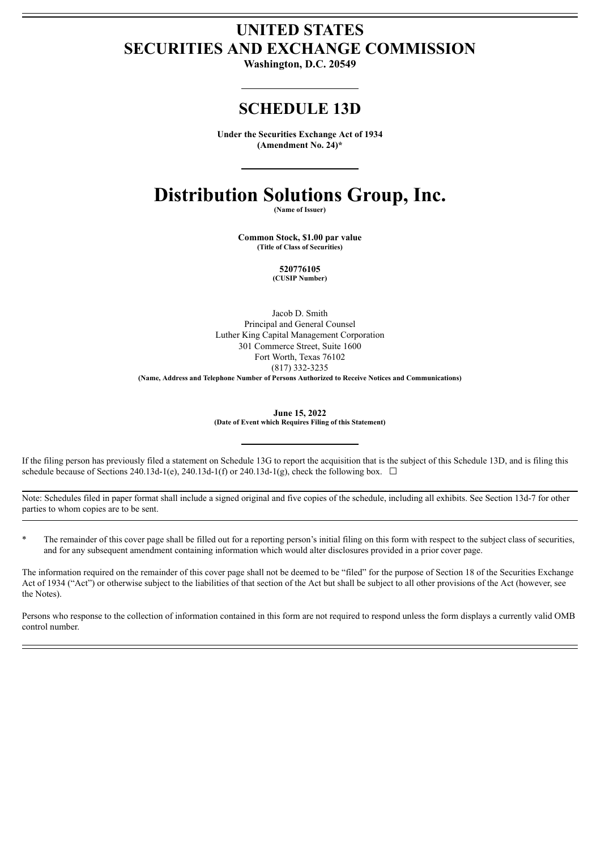# **UNITED STATES SECURITIES AND EXCHANGE COMMISSION**

**Washington, D.C. 20549**

## **SCHEDULE 13D**

**Under the Securities Exchange Act of 1934 (Amendment No. 24)\***

# **Distribution Solutions Group, Inc.**

**(Name of Issuer)**

**Common Stock, \$1.00 par value (Title of Class of Securities)**

> **520776105 (CUSIP Number)**

Jacob D. Smith Principal and General Counsel Luther King Capital Management Corporation 301 Commerce Street, Suite 1600 Fort Worth, Texas 76102 (817) 332-3235 **(Name, Address and Telephone Number of Persons Authorized to Receive Notices and Communications)**

> **June 15, 2022 (Date of Event which Requires Filing of this Statement)**

If the filing person has previously filed a statement on Schedule 13G to report the acquisition that is the subject of this Schedule 13D, and is filing this schedule because of Sections 240.13d-1(e), 240.13d-1(f) or 240.13d-1(g), check the following box.  $\Box$ 

Note: Schedules filed in paper format shall include a signed original and five copies of the schedule, including all exhibits. See Section 13d-7 for other parties to whom copies are to be sent.

The remainder of this cover page shall be filled out for a reporting person's initial filing on this form with respect to the subject class of securities, and for any subsequent amendment containing information which would alter disclosures provided in a prior cover page.

The information required on the remainder of this cover page shall not be deemed to be "filed" for the purpose of Section 18 of the Securities Exchange Act of 1934 ("Act") or otherwise subject to the liabilities of that section of the Act but shall be subject to all other provisions of the Act (however, see the Notes).

Persons who response to the collection of information contained in this form are not required to respond unless the form displays a currently valid OMB control number.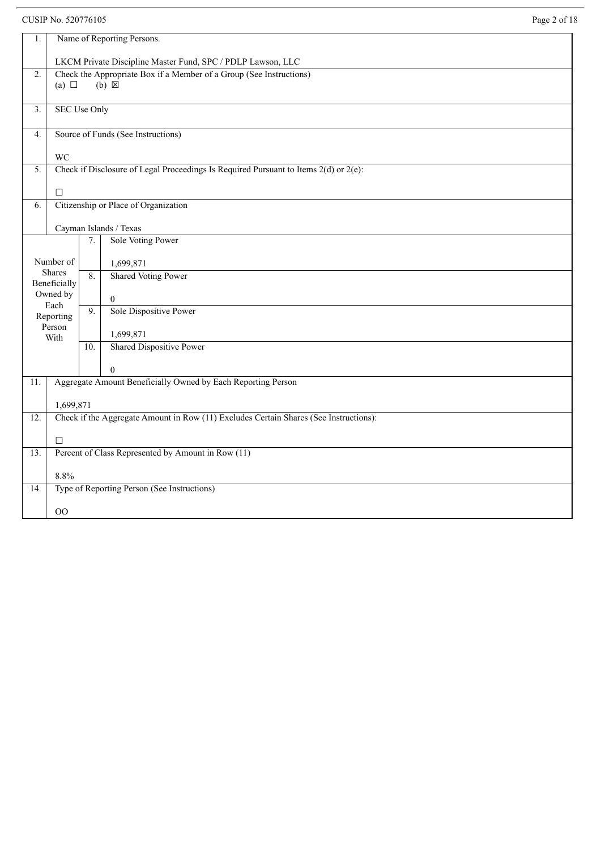CUSIP No. 520776105 Page 2 of 18

| 1.                |                                                                                       |                  | Name of Reporting Persons.                                                                |  |  |
|-------------------|---------------------------------------------------------------------------------------|------------------|-------------------------------------------------------------------------------------------|--|--|
|                   | LKCM Private Discipline Master Fund, SPC / PDLP Lawson, LLC                           |                  |                                                                                           |  |  |
| 2.                |                                                                                       |                  | Check the Appropriate Box if a Member of a Group (See Instructions)                       |  |  |
|                   | (a) $\Box$                                                                            |                  | $(b) \boxtimes$                                                                           |  |  |
| 3.                | <b>SEC Use Only</b>                                                                   |                  |                                                                                           |  |  |
| 4.                |                                                                                       |                  | Source of Funds (See Instructions)                                                        |  |  |
|                   |                                                                                       |                  |                                                                                           |  |  |
|                   | <b>WC</b>                                                                             |                  | Check if Disclosure of Legal Proceedings Is Required Pursuant to Items $2(d)$ or $2(e)$ : |  |  |
| 5.                |                                                                                       |                  |                                                                                           |  |  |
|                   | $\Box$                                                                                |                  |                                                                                           |  |  |
| 6.                |                                                                                       |                  | Citizenship or Place of Organization                                                      |  |  |
|                   |                                                                                       |                  | Cayman Islands / Texas                                                                    |  |  |
|                   |                                                                                       | 7.               | <b>Sole Voting Power</b>                                                                  |  |  |
|                   | Number of                                                                             |                  | 1,699,871                                                                                 |  |  |
|                   | Shares<br>Beneficially                                                                | 8.               | <b>Shared Voting Power</b>                                                                |  |  |
|                   | Owned by<br>Each                                                                      |                  | $\boldsymbol{0}$                                                                          |  |  |
|                   | Reporting                                                                             | $\overline{9}$ . | Sole Dispositive Power                                                                    |  |  |
|                   | Person<br>With                                                                        |                  | 1,699,871                                                                                 |  |  |
|                   |                                                                                       | 10.              | <b>Shared Dispositive Power</b>                                                           |  |  |
|                   |                                                                                       |                  | $\Omega$                                                                                  |  |  |
| 11.               |                                                                                       |                  | Aggregate Amount Beneficially Owned by Each Reporting Person                              |  |  |
|                   | 1,699,871                                                                             |                  |                                                                                           |  |  |
| 12.               | Check if the Aggregate Amount in Row (11) Excludes Certain Shares (See Instructions): |                  |                                                                                           |  |  |
|                   | $\Box$                                                                                |                  |                                                                                           |  |  |
| $\overline{13}$ . | Percent of Class Represented by Amount in Row (11)                                    |                  |                                                                                           |  |  |
|                   | 8.8%                                                                                  |                  |                                                                                           |  |  |
| 14.               |                                                                                       |                  | Type of Reporting Person (See Instructions)                                               |  |  |
|                   | OO                                                                                    |                  |                                                                                           |  |  |
|                   |                                                                                       |                  |                                                                                           |  |  |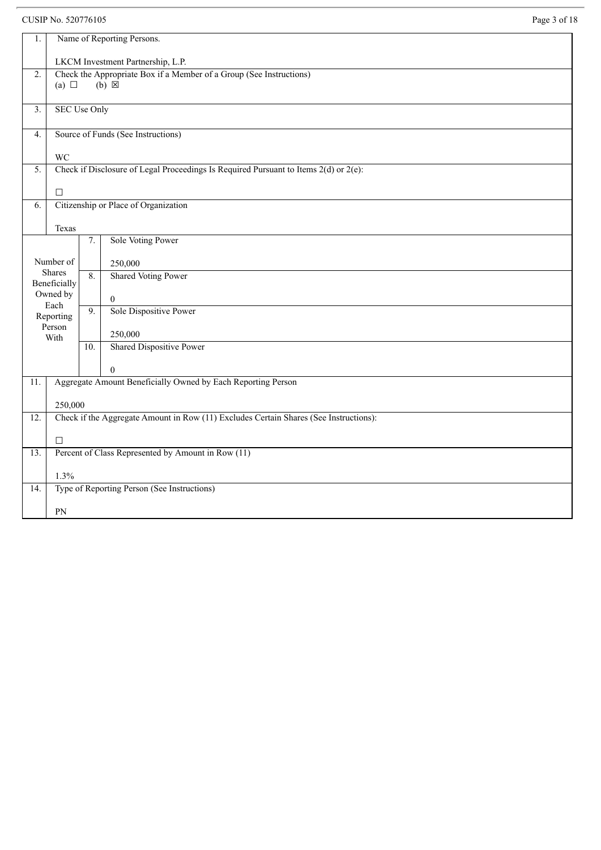CUSIP No. 520776105 Page 3 of 18

| 1.  | Name of Reporting Persons.                                                            |                  |                                                                                           |  |  |
|-----|---------------------------------------------------------------------------------------|------------------|-------------------------------------------------------------------------------------------|--|--|
|     | LKCM Investment Partnership, L.P.                                                     |                  |                                                                                           |  |  |
| 2.  | (a) $\Box$                                                                            |                  | Check the Appropriate Box if a Member of a Group (See Instructions)<br>$(b) \boxtimes$    |  |  |
| 3.  | <b>SEC Use Only</b>                                                                   |                  |                                                                                           |  |  |
| 4.  |                                                                                       |                  | Source of Funds (See Instructions)                                                        |  |  |
|     | <b>WC</b>                                                                             |                  |                                                                                           |  |  |
| 5.  |                                                                                       |                  | Check if Disclosure of Legal Proceedings Is Required Pursuant to Items $2(d)$ or $2(e)$ : |  |  |
|     | $\Box$                                                                                |                  |                                                                                           |  |  |
| 6.  |                                                                                       |                  | Citizenship or Place of Organization                                                      |  |  |
|     | Texas                                                                                 |                  |                                                                                           |  |  |
|     |                                                                                       | 7.               | Sole Voting Power                                                                         |  |  |
|     | Number of                                                                             |                  | 250,000                                                                                   |  |  |
|     | <b>Shares</b><br>Beneficially                                                         | 8.               | <b>Shared Voting Power</b>                                                                |  |  |
|     | Owned by                                                                              |                  | $\boldsymbol{0}$                                                                          |  |  |
|     | Each<br>Reporting                                                                     | $\overline{9}$ . | Sole Dispositive Power                                                                    |  |  |
|     | Person<br>With                                                                        |                  | 250,000                                                                                   |  |  |
|     |                                                                                       | 10.              | Shared Dispositive Power                                                                  |  |  |
|     |                                                                                       |                  | $\theta$                                                                                  |  |  |
| 11. |                                                                                       |                  | Aggregate Amount Beneficially Owned by Each Reporting Person                              |  |  |
|     | 250,000                                                                               |                  |                                                                                           |  |  |
| 12. | Check if the Aggregate Amount in Row (11) Excludes Certain Shares (See Instructions): |                  |                                                                                           |  |  |
|     | $\Box$                                                                                |                  |                                                                                           |  |  |
| 13. | Percent of Class Represented by Amount in Row (11)                                    |                  |                                                                                           |  |  |
|     | 1.3%                                                                                  |                  |                                                                                           |  |  |
| 14. | Type of Reporting Person (See Instructions)                                           |                  |                                                                                           |  |  |
|     | PN                                                                                    |                  |                                                                                           |  |  |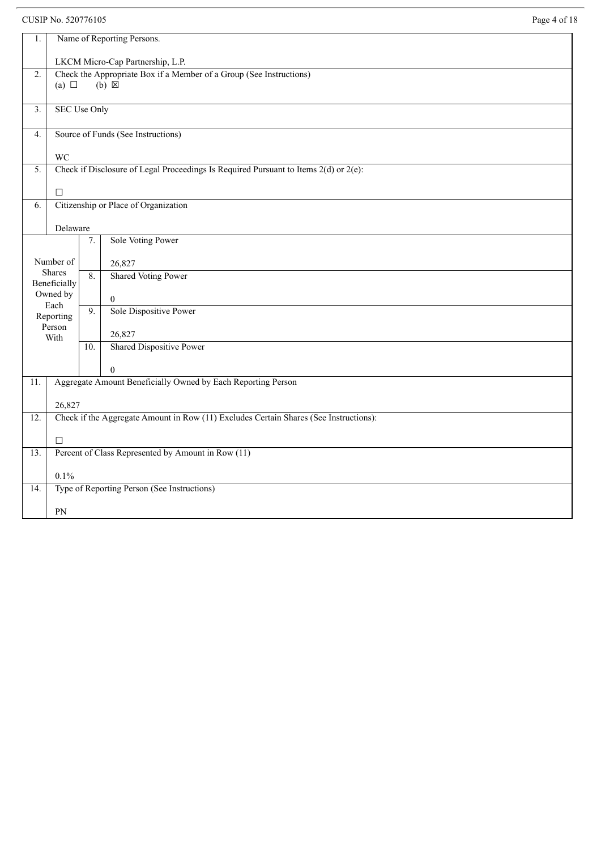CUSIP No. 520776105

| 1.                | Name of Reporting Persons.                                                                      |     |                                                                                           |  |  |  |  |
|-------------------|-------------------------------------------------------------------------------------------------|-----|-------------------------------------------------------------------------------------------|--|--|--|--|
|                   | LKCM Micro-Cap Partnership, L.P.                                                                |     |                                                                                           |  |  |  |  |
| $\overline{2}$ .  |                                                                                                 |     | Check the Appropriate Box if a Member of a Group (See Instructions)                       |  |  |  |  |
|                   | (a) $\Box$                                                                                      |     | $(b) \boxtimes$                                                                           |  |  |  |  |
| 3.                | <b>SEC Use Only</b>                                                                             |     |                                                                                           |  |  |  |  |
|                   |                                                                                                 |     |                                                                                           |  |  |  |  |
| 4.                |                                                                                                 |     | Source of Funds (See Instructions)                                                        |  |  |  |  |
|                   | <b>WC</b>                                                                                       |     |                                                                                           |  |  |  |  |
| 5.                |                                                                                                 |     | Check if Disclosure of Legal Proceedings Is Required Pursuant to Items $2(d)$ or $2(e)$ : |  |  |  |  |
|                   | $\Box$                                                                                          |     |                                                                                           |  |  |  |  |
| 6.                |                                                                                                 |     | Citizenship or Place of Organization                                                      |  |  |  |  |
|                   | Delaware                                                                                        |     |                                                                                           |  |  |  |  |
|                   |                                                                                                 | 7.  | Sole Voting Power                                                                         |  |  |  |  |
|                   |                                                                                                 |     |                                                                                           |  |  |  |  |
|                   | Number of<br><b>Shares</b>                                                                      | 8.  | 26,827<br><b>Shared Voting Power</b>                                                      |  |  |  |  |
|                   | Beneficially                                                                                    |     |                                                                                           |  |  |  |  |
|                   | Owned by<br>Each                                                                                |     | $\boldsymbol{0}$                                                                          |  |  |  |  |
|                   | Reporting                                                                                       | 9.  | Sole Dispositive Power                                                                    |  |  |  |  |
|                   | Person<br>With                                                                                  |     | 26,827                                                                                    |  |  |  |  |
|                   |                                                                                                 | 10. | Shared Dispositive Power                                                                  |  |  |  |  |
|                   |                                                                                                 |     | $\theta$                                                                                  |  |  |  |  |
| $\overline{11}$ . |                                                                                                 |     | Aggregate Amount Beneficially Owned by Each Reporting Person                              |  |  |  |  |
|                   |                                                                                                 |     |                                                                                           |  |  |  |  |
| 12.               | 26,827<br>Check if the Aggregate Amount in Row (11) Excludes Certain Shares (See Instructions): |     |                                                                                           |  |  |  |  |
|                   |                                                                                                 |     |                                                                                           |  |  |  |  |
|                   | $\Box$                                                                                          |     |                                                                                           |  |  |  |  |
| 13.               |                                                                                                 |     | Percent of Class Represented by Amount in Row (11)                                        |  |  |  |  |
|                   | 0.1%                                                                                            |     |                                                                                           |  |  |  |  |
| $\overline{14}$ . |                                                                                                 |     | Type of Reporting Person (See Instructions)                                               |  |  |  |  |
|                   | PN                                                                                              |     |                                                                                           |  |  |  |  |
|                   |                                                                                                 |     |                                                                                           |  |  |  |  |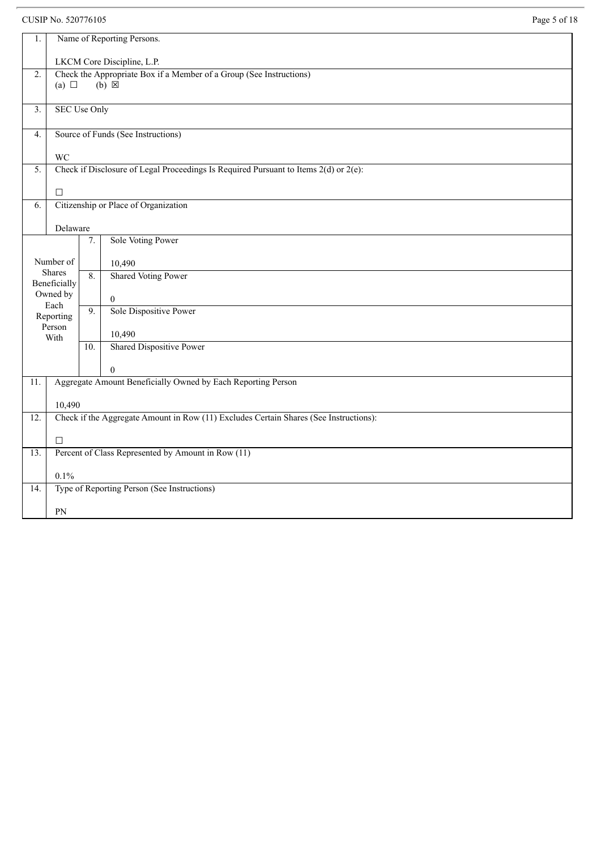## CUSIP No. 520776105 Page 5 of 18

| 1.               |                                                    |                  | Name of Reporting Persons.                                                             |  |  |
|------------------|----------------------------------------------------|------------------|----------------------------------------------------------------------------------------|--|--|
|                  | LKCM Core Discipline, L.P.                         |                  |                                                                                        |  |  |
| $\overline{2}$ . | (a) $\Box$                                         |                  | Check the Appropriate Box if a Member of a Group (See Instructions)<br>$(b) \boxtimes$ |  |  |
| 3.               | <b>SEC Use Only</b>                                |                  |                                                                                        |  |  |
| 4.               |                                                    |                  | Source of Funds (See Instructions)                                                     |  |  |
|                  | <b>WC</b>                                          |                  |                                                                                        |  |  |
| 5.               |                                                    |                  | Check if Disclosure of Legal Proceedings Is Required Pursuant to Items 2(d) or 2(e):   |  |  |
|                  | $\Box$                                             |                  |                                                                                        |  |  |
| 6.               |                                                    |                  | Citizenship or Place of Organization                                                   |  |  |
|                  | Delaware                                           |                  |                                                                                        |  |  |
|                  |                                                    | 7.               | <b>Sole Voting Power</b>                                                               |  |  |
|                  | Number of                                          |                  | 10,490                                                                                 |  |  |
|                  | Shares<br>Beneficially                             | $\overline{8}$ . | <b>Shared Voting Power</b>                                                             |  |  |
|                  | Owned by                                           |                  | $\mathbf{0}$                                                                           |  |  |
|                  | Each<br>Reporting                                  | $\overline{9}$ . | Sole Dispositive Power                                                                 |  |  |
|                  | Person<br>With                                     |                  | 10,490                                                                                 |  |  |
|                  |                                                    | 10.              | Shared Dispositive Power                                                               |  |  |
|                  |                                                    |                  | $\Omega$                                                                               |  |  |
| 11.              |                                                    |                  | Aggregate Amount Beneficially Owned by Each Reporting Person                           |  |  |
|                  | 10,490                                             |                  |                                                                                        |  |  |
| 12.              |                                                    |                  | Check if the Aggregate Amount in Row (11) Excludes Certain Shares (See Instructions):  |  |  |
|                  | $\Box$                                             |                  |                                                                                        |  |  |
| 13.              | Percent of Class Represented by Amount in Row (11) |                  |                                                                                        |  |  |
|                  | 0.1%                                               |                  |                                                                                        |  |  |
| 14.              |                                                    |                  | Type of Reporting Person (See Instructions)                                            |  |  |
|                  | PN                                                 |                  |                                                                                        |  |  |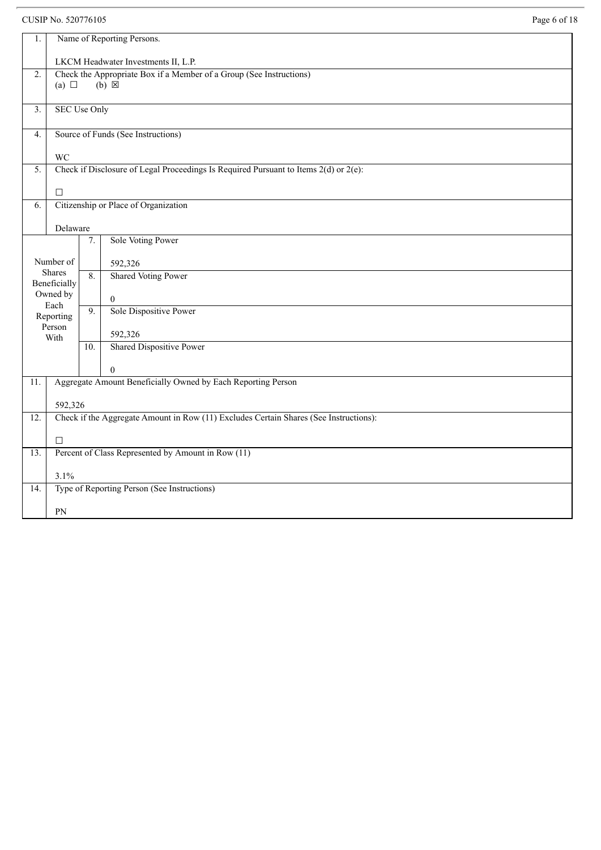CUSIP No. 520776105

| 1.                                                                                      |                                                                                                  |                  | Name of Reporting Persons.                                                           |  |  |  |
|-----------------------------------------------------------------------------------------|--------------------------------------------------------------------------------------------------|------------------|--------------------------------------------------------------------------------------|--|--|--|
|                                                                                         | LKCM Headwater Investments II, L.P.                                                              |                  |                                                                                      |  |  |  |
| Check the Appropriate Box if a Member of a Group (See Instructions)<br>$\overline{2}$ . |                                                                                                  |                  |                                                                                      |  |  |  |
|                                                                                         | (a) $\Box$                                                                                       |                  | $(b) \boxtimes$                                                                      |  |  |  |
| 3.                                                                                      | <b>SEC Use Only</b>                                                                              |                  |                                                                                      |  |  |  |
|                                                                                         |                                                                                                  |                  |                                                                                      |  |  |  |
| 4.                                                                                      |                                                                                                  |                  | Source of Funds (See Instructions)                                                   |  |  |  |
|                                                                                         | <b>WC</b>                                                                                        |                  |                                                                                      |  |  |  |
| 5.                                                                                      |                                                                                                  |                  | Check if Disclosure of Legal Proceedings Is Required Pursuant to Items 2(d) or 2(e): |  |  |  |
|                                                                                         |                                                                                                  |                  |                                                                                      |  |  |  |
| 6.                                                                                      | $\Box$                                                                                           |                  | Citizenship or Place of Organization                                                 |  |  |  |
|                                                                                         |                                                                                                  |                  |                                                                                      |  |  |  |
|                                                                                         | Delaware                                                                                         |                  |                                                                                      |  |  |  |
|                                                                                         |                                                                                                  | 7.               | Sole Voting Power                                                                    |  |  |  |
|                                                                                         | Number of                                                                                        |                  | 592,326                                                                              |  |  |  |
|                                                                                         | <b>Shares</b>                                                                                    | 8.               | <b>Shared Voting Power</b>                                                           |  |  |  |
|                                                                                         | Beneficially<br>Owned by                                                                         |                  |                                                                                      |  |  |  |
|                                                                                         | Each                                                                                             | $\overline{9}$ . | $\mathbf{0}$<br>Sole Dispositive Power                                               |  |  |  |
|                                                                                         | Reporting                                                                                        |                  |                                                                                      |  |  |  |
|                                                                                         | Person<br>With                                                                                   |                  | 592,326                                                                              |  |  |  |
|                                                                                         |                                                                                                  | 10.              | <b>Shared Dispositive Power</b>                                                      |  |  |  |
|                                                                                         |                                                                                                  |                  | $\theta$                                                                             |  |  |  |
| 11.                                                                                     |                                                                                                  |                  | Aggregate Amount Beneficially Owned by Each Reporting Person                         |  |  |  |
|                                                                                         |                                                                                                  |                  |                                                                                      |  |  |  |
| 12.                                                                                     | 592,326<br>Check if the Aggregate Amount in Row (11) Excludes Certain Shares (See Instructions): |                  |                                                                                      |  |  |  |
|                                                                                         |                                                                                                  |                  |                                                                                      |  |  |  |
|                                                                                         | $\Box$                                                                                           |                  |                                                                                      |  |  |  |
| $\overline{13}$ .                                                                       | Percent of Class Represented by Amount in Row (11)                                               |                  |                                                                                      |  |  |  |
| 3.1%                                                                                    |                                                                                                  |                  |                                                                                      |  |  |  |
| $\overline{14}$ .                                                                       |                                                                                                  |                  | Type of Reporting Person (See Instructions)                                          |  |  |  |
|                                                                                         |                                                                                                  |                  |                                                                                      |  |  |  |
|                                                                                         | PN                                                                                               |                  |                                                                                      |  |  |  |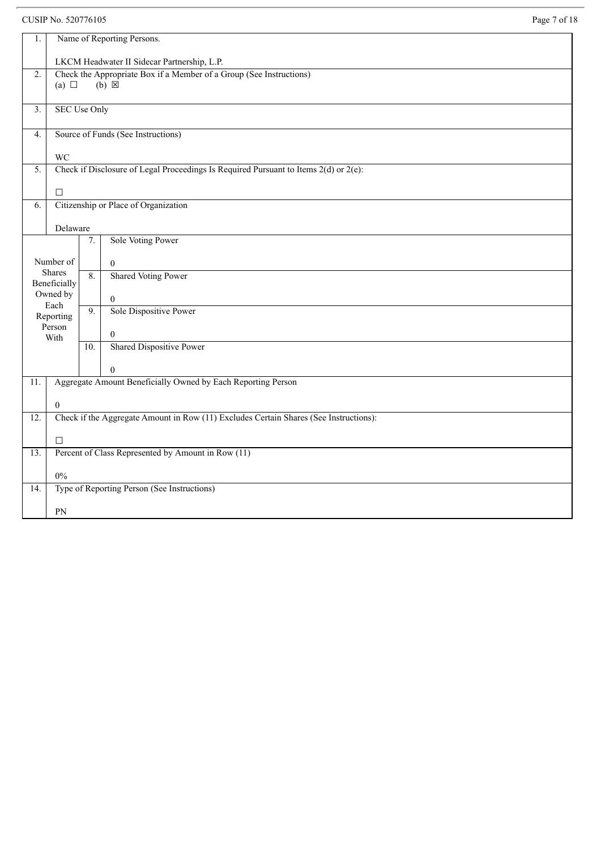CUSIP No. 520776105 Page 7 of 18

| $1.$              | Name of Reporting Persons.                                                                                |                  |                                                                                        |  |  |
|-------------------|-----------------------------------------------------------------------------------------------------------|------------------|----------------------------------------------------------------------------------------|--|--|
|                   | LKCM Headwater II Sidecar Partnership, L.P.                                                               |                  |                                                                                        |  |  |
| $\overline{2}$ .  | (a) $\Box$                                                                                                |                  | Check the Appropriate Box if a Member of a Group (See Instructions)<br>$(b) \boxtimes$ |  |  |
| 3.                | <b>SEC Use Only</b>                                                                                       |                  |                                                                                        |  |  |
| 4.                |                                                                                                           |                  | Source of Funds (See Instructions)                                                     |  |  |
|                   | <b>WC</b>                                                                                                 |                  |                                                                                        |  |  |
| 5.                | $\Box$                                                                                                    |                  | Check if Disclosure of Legal Proceedings Is Required Pursuant to Items 2(d) or 2(e):   |  |  |
| 6.                |                                                                                                           |                  | Citizenship or Place of Organization                                                   |  |  |
|                   | Delaware                                                                                                  |                  |                                                                                        |  |  |
|                   |                                                                                                           | 7.               | Sole Voting Power                                                                      |  |  |
|                   |                                                                                                           |                  |                                                                                        |  |  |
|                   | Number of                                                                                                 |                  | $\mathbf{0}$                                                                           |  |  |
|                   | <b>Shares</b><br>Beneficially                                                                             | 8.               | <b>Shared Voting Power</b>                                                             |  |  |
|                   | Owned by<br>Each                                                                                          |                  | $\mathbf{0}$                                                                           |  |  |
|                   | Reporting                                                                                                 | $\overline{9}$ . | Sole Dispositive Power                                                                 |  |  |
|                   | Person                                                                                                    |                  |                                                                                        |  |  |
|                   | With                                                                                                      |                  | $\mathbf{0}$<br>Shared Dispositive Power                                               |  |  |
|                   |                                                                                                           | 10.              |                                                                                        |  |  |
|                   |                                                                                                           |                  | $\Omega$                                                                               |  |  |
| $\overline{11}$ . |                                                                                                           |                  | Aggregate Amount Beneficially Owned by Each Reporting Person                           |  |  |
|                   |                                                                                                           |                  |                                                                                        |  |  |
| 12.               | $\boldsymbol{0}$<br>Check if the Aggregate Amount in Row (11) Excludes Certain Shares (See Instructions): |                  |                                                                                        |  |  |
|                   |                                                                                                           |                  |                                                                                        |  |  |
|                   | $\Box$                                                                                                    |                  |                                                                                        |  |  |
| 13.               | Percent of Class Represented by Amount in Row (11)                                                        |                  |                                                                                        |  |  |
|                   | $0\%$                                                                                                     |                  |                                                                                        |  |  |
| 14.               |                                                                                                           |                  | Type of Reporting Person (See Instructions)                                            |  |  |
|                   | PN                                                                                                        |                  |                                                                                        |  |  |
|                   |                                                                                                           |                  |                                                                                        |  |  |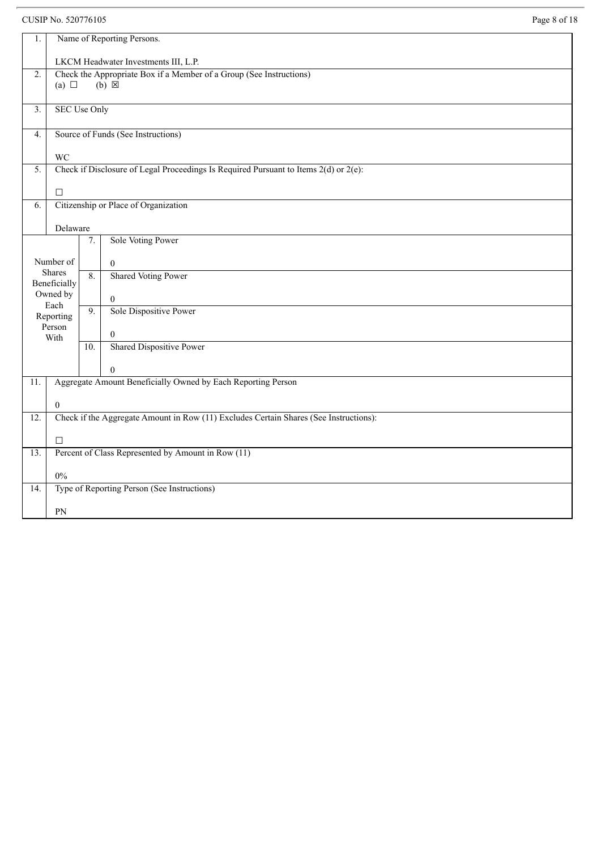CUSIP No. 520776105 Page 8 of 18

| 1.           | Name of Reporting Persons.                                                            |    |                                                                                        |  |  |
|--------------|---------------------------------------------------------------------------------------|----|----------------------------------------------------------------------------------------|--|--|
|              | LKCM Headwater Investments III, L.P.                                                  |    |                                                                                        |  |  |
| 2.           |                                                                                       |    | Check the Appropriate Box if a Member of a Group (See Instructions)<br>$(b) \boxtimes$ |  |  |
|              | (a) $\Box$                                                                            |    |                                                                                        |  |  |
| 3.           | <b>SEC Use Only</b>                                                                   |    |                                                                                        |  |  |
|              |                                                                                       |    |                                                                                        |  |  |
| 4.           |                                                                                       |    | Source of Funds (See Instructions)                                                     |  |  |
|              | <b>WC</b>                                                                             |    |                                                                                        |  |  |
| 5.           |                                                                                       |    | Check if Disclosure of Legal Proceedings Is Required Pursuant to Items 2(d) or 2(e):   |  |  |
|              |                                                                                       |    |                                                                                        |  |  |
|              | $\Box$                                                                                |    |                                                                                        |  |  |
| 6.           |                                                                                       |    | Citizenship or Place of Organization                                                   |  |  |
|              |                                                                                       |    |                                                                                        |  |  |
|              | Delaware                                                                              |    |                                                                                        |  |  |
|              |                                                                                       | 7. | Sole Voting Power                                                                      |  |  |
|              | Number of                                                                             |    |                                                                                        |  |  |
|              | Shares                                                                                |    | $\mathbf{0}$                                                                           |  |  |
| Beneficially |                                                                                       | 8. | <b>Shared Voting Power</b>                                                             |  |  |
|              | Owned by                                                                              |    | $\boldsymbol{0}$                                                                       |  |  |
|              | Each<br>Reporting                                                                     |    | Sole Dispositive Power                                                                 |  |  |
|              | Person                                                                                |    |                                                                                        |  |  |
|              | With                                                                                  |    | $\boldsymbol{0}$                                                                       |  |  |
|              |                                                                                       |    | Shared Dispositive Power                                                               |  |  |
|              |                                                                                       |    | $\theta$                                                                               |  |  |
| 11.          |                                                                                       |    | Aggregate Amount Beneficially Owned by Each Reporting Person                           |  |  |
|              |                                                                                       |    |                                                                                        |  |  |
|              | $\boldsymbol{0}$                                                                      |    |                                                                                        |  |  |
| 12.          | Check if the Aggregate Amount in Row (11) Excludes Certain Shares (See Instructions): |    |                                                                                        |  |  |
|              | $\Box$                                                                                |    |                                                                                        |  |  |
| 13.          | Percent of Class Represented by Amount in Row (11)                                    |    |                                                                                        |  |  |
|              |                                                                                       |    |                                                                                        |  |  |
|              | $0\%$                                                                                 |    |                                                                                        |  |  |
| 14.          |                                                                                       |    | Type of Reporting Person (See Instructions)                                            |  |  |
|              |                                                                                       |    |                                                                                        |  |  |
|              | PN                                                                                    |    |                                                                                        |  |  |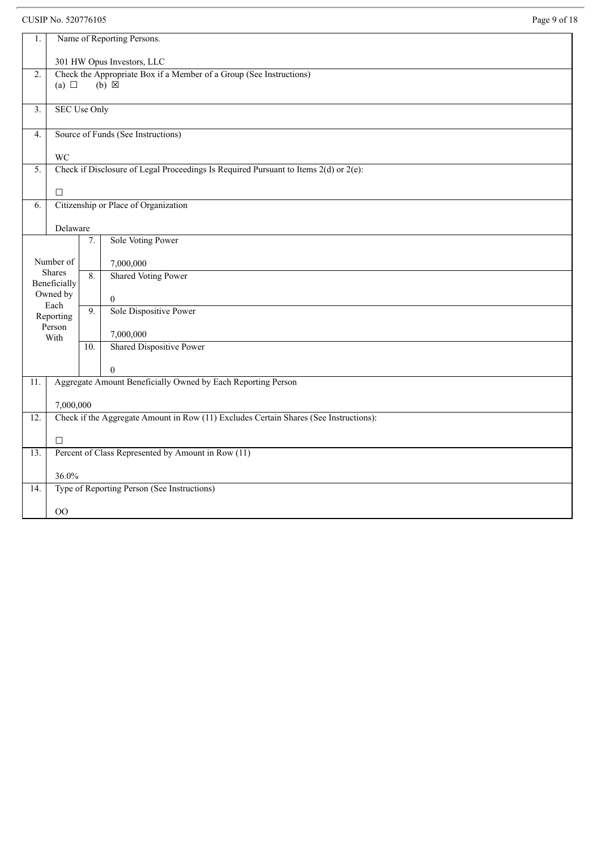## CUSIP No. 520776105 Page 9 of 18

| 1.                | Name of Reporting Persons.                                                            |                  |                                                                                        |  |  |
|-------------------|---------------------------------------------------------------------------------------|------------------|----------------------------------------------------------------------------------------|--|--|
|                   | 301 HW Opus Investors, LLC                                                            |                  |                                                                                        |  |  |
| $\overline{2}$ .  | (a) $\Box$                                                                            |                  | Check the Appropriate Box if a Member of a Group (See Instructions)<br>$(b) \boxtimes$ |  |  |
| 3.                | <b>SEC Use Only</b>                                                                   |                  |                                                                                        |  |  |
| 4.                |                                                                                       |                  | Source of Funds (See Instructions)                                                     |  |  |
|                   | <b>WC</b>                                                                             |                  |                                                                                        |  |  |
| 5.                |                                                                                       |                  | Check if Disclosure of Legal Proceedings Is Required Pursuant to Items 2(d) or 2(e):   |  |  |
|                   | $\Box$                                                                                |                  |                                                                                        |  |  |
| 6.                |                                                                                       |                  | Citizenship or Place of Organization                                                   |  |  |
|                   | Delaware                                                                              |                  |                                                                                        |  |  |
|                   |                                                                                       | 7.               | Sole Voting Power                                                                      |  |  |
|                   | Number of                                                                             |                  | 7,000,000                                                                              |  |  |
|                   | Shares<br>Beneficially                                                                | 8.               | <b>Shared Voting Power</b>                                                             |  |  |
|                   | Owned by<br>Each                                                                      |                  | $\mathbf{0}$                                                                           |  |  |
|                   | Reporting                                                                             | $\overline{9}$ . | Sole Dispositive Power                                                                 |  |  |
|                   | Person<br>With                                                                        |                  | 7,000,000                                                                              |  |  |
|                   |                                                                                       | 10.              | <b>Shared Dispositive Power</b>                                                        |  |  |
|                   |                                                                                       |                  | $\theta$                                                                               |  |  |
| $\overline{11}$ . |                                                                                       |                  | Aggregate Amount Beneficially Owned by Each Reporting Person                           |  |  |
|                   | 7,000,000                                                                             |                  |                                                                                        |  |  |
| 12.               | Check if the Aggregate Amount in Row (11) Excludes Certain Shares (See Instructions): |                  |                                                                                        |  |  |
|                   | $\Box$                                                                                |                  |                                                                                        |  |  |
| 13.               |                                                                                       |                  | Percent of Class Represented by Amount in Row (11)                                     |  |  |
|                   | 36.0%                                                                                 |                  |                                                                                        |  |  |
| $\overline{14}$ . | Type of Reporting Person (See Instructions)                                           |                  |                                                                                        |  |  |
|                   | 00                                                                                    |                  |                                                                                        |  |  |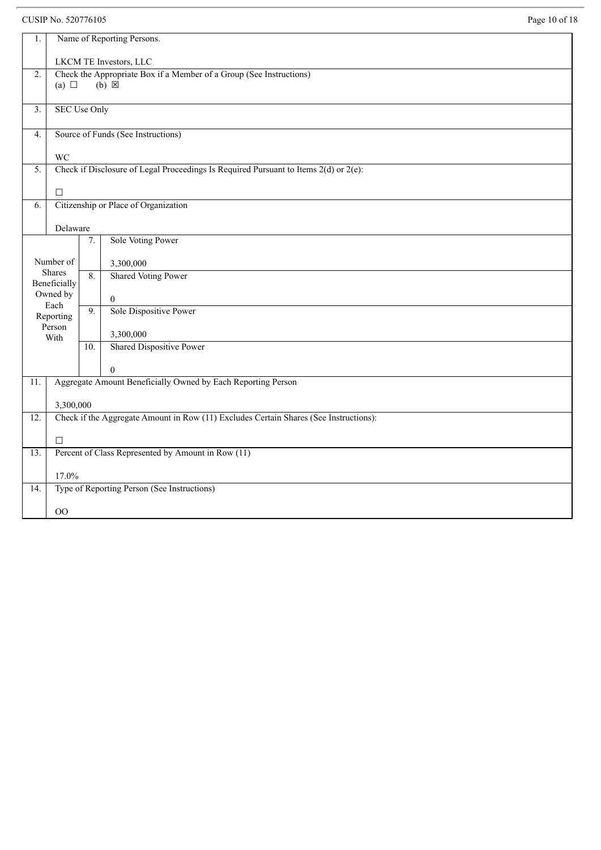#### CUSIP No. 520776105

|  | Page 10 of 18 |  |  |  |
|--|---------------|--|--|--|
|--|---------------|--|--|--|

| 1.                |                                                                                       |                  | Name of Reporting Persons.                                                             |  |  |
|-------------------|---------------------------------------------------------------------------------------|------------------|----------------------------------------------------------------------------------------|--|--|
|                   | LKCM TE Investors, LLC                                                                |                  |                                                                                        |  |  |
| $\overline{2}$ .  | (a) $\Box$                                                                            |                  | Check the Appropriate Box if a Member of a Group (See Instructions)<br>$(b) \boxtimes$ |  |  |
| 3.                | <b>SEC Use Only</b>                                                                   |                  |                                                                                        |  |  |
| 4.                |                                                                                       |                  | Source of Funds (See Instructions)                                                     |  |  |
|                   | <b>WC</b>                                                                             |                  |                                                                                        |  |  |
| $\overline{5}$ .  |                                                                                       |                  | Check if Disclosure of Legal Proceedings Is Required Pursuant to Items 2(d) or 2(e):   |  |  |
|                   | $\Box$                                                                                |                  |                                                                                        |  |  |
| 6.                |                                                                                       |                  | Citizenship or Place of Organization                                                   |  |  |
|                   | Delaware                                                                              |                  |                                                                                        |  |  |
|                   |                                                                                       | 7.               | Sole Voting Power                                                                      |  |  |
|                   | Number of                                                                             |                  | 3,300,000                                                                              |  |  |
|                   | Shares<br>Beneficially                                                                | 8.               | <b>Shared Voting Power</b>                                                             |  |  |
|                   | Owned by                                                                              |                  | $\mathbf{0}$                                                                           |  |  |
|                   | Each<br>Reporting                                                                     | $\overline{9}$ . | Sole Dispositive Power                                                                 |  |  |
|                   | Person<br>With                                                                        |                  | 3,300,000                                                                              |  |  |
|                   |                                                                                       | 10.              | <b>Shared Dispositive Power</b>                                                        |  |  |
|                   |                                                                                       |                  | $\Omega$                                                                               |  |  |
| $\overline{11}$ . |                                                                                       |                  | Aggregate Amount Beneficially Owned by Each Reporting Person                           |  |  |
|                   | 3,300,000                                                                             |                  |                                                                                        |  |  |
| $\overline{12}$ . | Check if the Aggregate Amount in Row (11) Excludes Certain Shares (See Instructions): |                  |                                                                                        |  |  |
|                   | $\Box$                                                                                |                  |                                                                                        |  |  |
| 13.               | Percent of Class Represented by Amount in Row (11)                                    |                  |                                                                                        |  |  |
|                   | 17.0%                                                                                 |                  |                                                                                        |  |  |
| $\overline{14}$ . |                                                                                       |                  | Type of Reporting Person (See Instructions)                                            |  |  |
|                   | 00                                                                                    |                  |                                                                                        |  |  |
|                   |                                                                                       |                  |                                                                                        |  |  |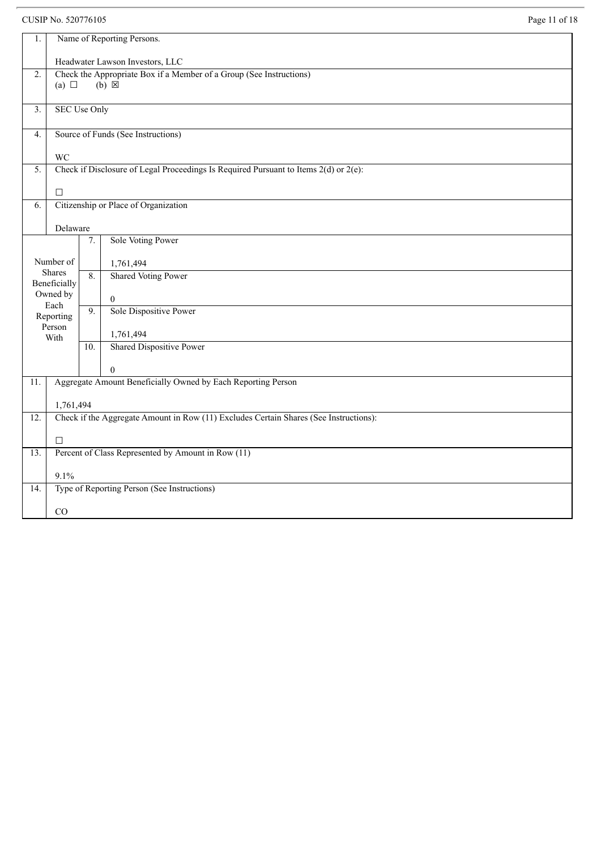CUSIP No. 520776105 Page 11 of 18

| $1.$                                                                                                          | Name of Reporting Persons.                                                                           |                                                                                       |                                             |  |  |  |
|---------------------------------------------------------------------------------------------------------------|------------------------------------------------------------------------------------------------------|---------------------------------------------------------------------------------------|---------------------------------------------|--|--|--|
|                                                                                                               | Headwater Lawson Investors, LLC                                                                      |                                                                                       |                                             |  |  |  |
| $\overline{2}$ .                                                                                              | Check the Appropriate Box if a Member of a Group (See Instructions)<br>$(b) \boxtimes$<br>(a) $\Box$ |                                                                                       |                                             |  |  |  |
| 3.                                                                                                            | <b>SEC Use Only</b>                                                                                  |                                                                                       |                                             |  |  |  |
| 4.                                                                                                            | Source of Funds (See Instructions)                                                                   |                                                                                       |                                             |  |  |  |
|                                                                                                               | <b>WC</b>                                                                                            |                                                                                       |                                             |  |  |  |
| Check if Disclosure of Legal Proceedings Is Required Pursuant to Items $2(d)$ or $2(e)$ :<br>$\overline{5}$ . |                                                                                                      |                                                                                       |                                             |  |  |  |
|                                                                                                               | $\Box$                                                                                               |                                                                                       |                                             |  |  |  |
| 6.                                                                                                            |                                                                                                      | Citizenship or Place of Organization                                                  |                                             |  |  |  |
|                                                                                                               | Delaware                                                                                             |                                                                                       |                                             |  |  |  |
|                                                                                                               |                                                                                                      | 7.                                                                                    | Sole Voting Power                           |  |  |  |
|                                                                                                               | Number of                                                                                            |                                                                                       | 1,761,494                                   |  |  |  |
|                                                                                                               | Shares<br>Beneficially                                                                               | 8.                                                                                    | <b>Shared Voting Power</b>                  |  |  |  |
|                                                                                                               | Owned by                                                                                             |                                                                                       | $\boldsymbol{0}$                            |  |  |  |
|                                                                                                               | Each<br>Reporting                                                                                    | $\overline{9}$ .                                                                      | Sole Dispositive Power                      |  |  |  |
|                                                                                                               | Person<br>With                                                                                       |                                                                                       | 1,761,494                                   |  |  |  |
|                                                                                                               |                                                                                                      | 10.                                                                                   | <b>Shared Dispositive Power</b>             |  |  |  |
|                                                                                                               |                                                                                                      |                                                                                       | $\Omega$                                    |  |  |  |
| 11.                                                                                                           | Aggregate Amount Beneficially Owned by Each Reporting Person                                         |                                                                                       |                                             |  |  |  |
|                                                                                                               | 1,761,494                                                                                            |                                                                                       |                                             |  |  |  |
| 12.                                                                                                           |                                                                                                      | Check if the Aggregate Amount in Row (11) Excludes Certain Shares (See Instructions): |                                             |  |  |  |
|                                                                                                               | $\Box$                                                                                               |                                                                                       |                                             |  |  |  |
| $\overline{13}$ .                                                                                             | Percent of Class Represented by Amount in Row (11)                                                   |                                                                                       |                                             |  |  |  |
|                                                                                                               | 9.1%                                                                                                 |                                                                                       |                                             |  |  |  |
| 14.                                                                                                           |                                                                                                      |                                                                                       | Type of Reporting Person (See Instructions) |  |  |  |
|                                                                                                               | CO                                                                                                   |                                                                                       |                                             |  |  |  |
|                                                                                                               |                                                                                                      |                                                                                       |                                             |  |  |  |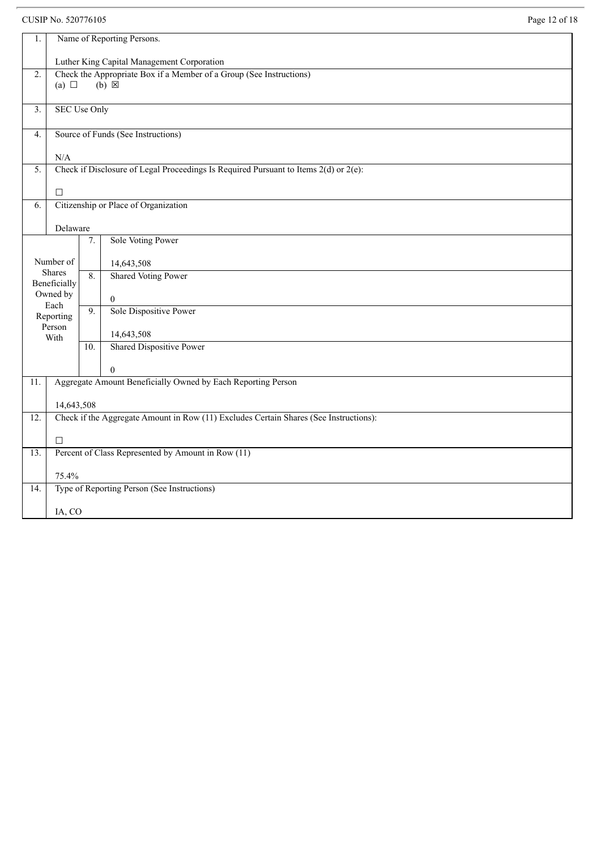CUSIP No. 520776105 Page 12 of 18

| 1.                                                                                         | Name of Reporting Persons.                                                            |                  |                                                              |  |  |
|--------------------------------------------------------------------------------------------|---------------------------------------------------------------------------------------|------------------|--------------------------------------------------------------|--|--|
|                                                                                            | Luther King Capital Management Corporation                                            |                  |                                                              |  |  |
| $\overline{2}$ .                                                                           | Check the Appropriate Box if a Member of a Group (See Instructions)                   |                  |                                                              |  |  |
|                                                                                            | (a) $\Box$                                                                            |                  | $(b) \boxtimes$                                              |  |  |
|                                                                                            |                                                                                       |                  |                                                              |  |  |
| 3.                                                                                         | <b>SEC Use Only</b>                                                                   |                  |                                                              |  |  |
|                                                                                            |                                                                                       |                  |                                                              |  |  |
| 4.                                                                                         |                                                                                       |                  | Source of Funds (See Instructions)                           |  |  |
|                                                                                            | N/A                                                                                   |                  |                                                              |  |  |
| Check if Disclosure of Legal Proceedings Is Required Pursuant to Items 2(d) or 2(e):<br>5. |                                                                                       |                  |                                                              |  |  |
|                                                                                            |                                                                                       |                  |                                                              |  |  |
|                                                                                            | $\Box$                                                                                |                  |                                                              |  |  |
| 6.                                                                                         |                                                                                       |                  | Citizenship or Place of Organization                         |  |  |
|                                                                                            |                                                                                       |                  |                                                              |  |  |
|                                                                                            | Delaware                                                                              |                  |                                                              |  |  |
|                                                                                            |                                                                                       | 7.               | Sole Voting Power                                            |  |  |
|                                                                                            |                                                                                       |                  |                                                              |  |  |
|                                                                                            | Number of<br><b>Shares</b>                                                            |                  | 14,643,508                                                   |  |  |
|                                                                                            | Beneficially                                                                          | 8.               | <b>Shared Voting Power</b>                                   |  |  |
|                                                                                            | Owned by                                                                              |                  | $\overline{0}$                                               |  |  |
|                                                                                            | Each                                                                                  | $\overline{9}$ . | Sole Dispositive Power                                       |  |  |
|                                                                                            | Reporting                                                                             |                  |                                                              |  |  |
|                                                                                            | Person<br>With                                                                        |                  | 14,643,508                                                   |  |  |
|                                                                                            |                                                                                       | 10.              | <b>Shared Dispositive Power</b>                              |  |  |
|                                                                                            |                                                                                       |                  |                                                              |  |  |
|                                                                                            |                                                                                       |                  | $\theta$                                                     |  |  |
| 11.                                                                                        |                                                                                       |                  | Aggregate Amount Beneficially Owned by Each Reporting Person |  |  |
|                                                                                            |                                                                                       |                  |                                                              |  |  |
|                                                                                            | 14,643,508                                                                            |                  |                                                              |  |  |
| 12.                                                                                        | Check if the Aggregate Amount in Row (11) Excludes Certain Shares (See Instructions): |                  |                                                              |  |  |
|                                                                                            | $\Box$                                                                                |                  |                                                              |  |  |
| 13.                                                                                        |                                                                                       |                  |                                                              |  |  |
|                                                                                            | Percent of Class Represented by Amount in Row (11)                                    |                  |                                                              |  |  |
|                                                                                            | 75.4%                                                                                 |                  |                                                              |  |  |
| 14.                                                                                        |                                                                                       |                  | Type of Reporting Person (See Instructions)                  |  |  |
|                                                                                            |                                                                                       |                  |                                                              |  |  |
|                                                                                            | IA, CO                                                                                |                  |                                                              |  |  |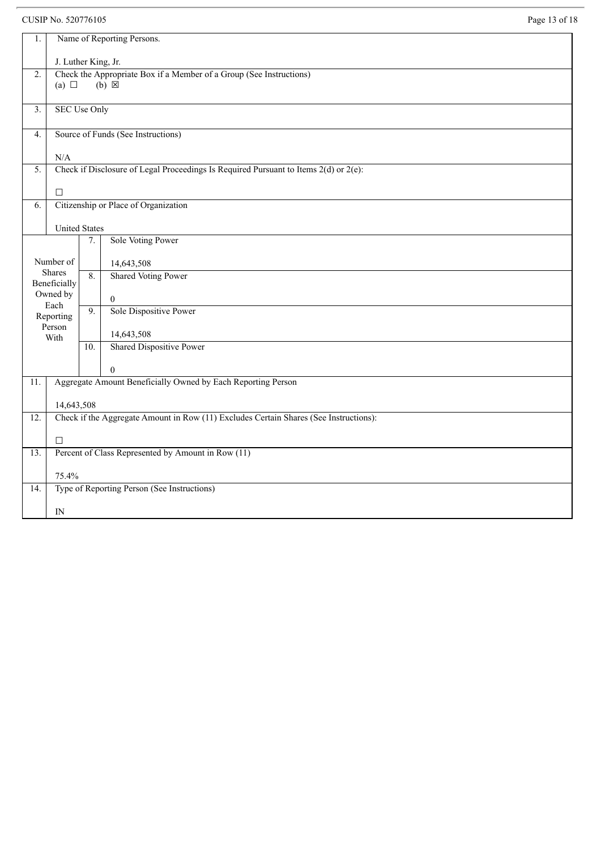## CUSIP No. 520776105 Page 13 of 18

| 1.                                                                                           | Name of Reporting Persons.                         |                                                                                           |                                                              |  |  |  |
|----------------------------------------------------------------------------------------------|----------------------------------------------------|-------------------------------------------------------------------------------------------|--------------------------------------------------------------|--|--|--|
|                                                                                              | J. Luther King, Jr.                                |                                                                                           |                                                              |  |  |  |
| $\overline{2}$ .                                                                             |                                                    | Check the Appropriate Box if a Member of a Group (See Instructions)                       |                                                              |  |  |  |
|                                                                                              | (a) $\Box$                                         |                                                                                           | $(b) \boxtimes$                                              |  |  |  |
|                                                                                              |                                                    |                                                                                           |                                                              |  |  |  |
| 3.                                                                                           | <b>SEC Use Only</b>                                |                                                                                           |                                                              |  |  |  |
| 4.                                                                                           |                                                    | Source of Funds (See Instructions)                                                        |                                                              |  |  |  |
|                                                                                              |                                                    |                                                                                           |                                                              |  |  |  |
|                                                                                              | N/A                                                |                                                                                           |                                                              |  |  |  |
| 5.                                                                                           |                                                    | Check if Disclosure of Legal Proceedings Is Required Pursuant to Items $2(d)$ or $2(e)$ : |                                                              |  |  |  |
|                                                                                              | $\Box$                                             |                                                                                           |                                                              |  |  |  |
| 6.                                                                                           | Citizenship or Place of Organization               |                                                                                           |                                                              |  |  |  |
|                                                                                              |                                                    |                                                                                           |                                                              |  |  |  |
|                                                                                              | <b>United States</b>                               |                                                                                           |                                                              |  |  |  |
|                                                                                              |                                                    | 7.                                                                                        | Sole Voting Power                                            |  |  |  |
|                                                                                              | Number of                                          |                                                                                           | 14,643,508                                                   |  |  |  |
|                                                                                              | Shares                                             | 8.                                                                                        | <b>Shared Voting Power</b>                                   |  |  |  |
|                                                                                              | Beneficially                                       |                                                                                           |                                                              |  |  |  |
|                                                                                              | Owned by<br>Each                                   |                                                                                           | $\boldsymbol{0}$                                             |  |  |  |
|                                                                                              | Reporting                                          | 9.                                                                                        | Sole Dispositive Power                                       |  |  |  |
|                                                                                              | Person                                             |                                                                                           |                                                              |  |  |  |
|                                                                                              | With                                               | 10.                                                                                       | 14,643,508<br>Shared Dispositive Power                       |  |  |  |
|                                                                                              |                                                    |                                                                                           |                                                              |  |  |  |
|                                                                                              |                                                    |                                                                                           | $\Omega$                                                     |  |  |  |
| $\overline{11}$ .                                                                            |                                                    |                                                                                           | Aggregate Amount Beneficially Owned by Each Reporting Person |  |  |  |
|                                                                                              |                                                    |                                                                                           |                                                              |  |  |  |
|                                                                                              | 14,643,508                                         |                                                                                           |                                                              |  |  |  |
| Check if the Aggregate Amount in Row (11) Excludes Certain Shares (See Instructions):<br>12. |                                                    |                                                                                           |                                                              |  |  |  |
|                                                                                              | $\Box$                                             |                                                                                           |                                                              |  |  |  |
| 13.                                                                                          | Percent of Class Represented by Amount in Row (11) |                                                                                           |                                                              |  |  |  |
|                                                                                              |                                                    |                                                                                           |                                                              |  |  |  |
| 14.                                                                                          | 75.4%                                              |                                                                                           | Type of Reporting Person (See Instructions)                  |  |  |  |
|                                                                                              |                                                    |                                                                                           |                                                              |  |  |  |
|                                                                                              | IN                                                 |                                                                                           |                                                              |  |  |  |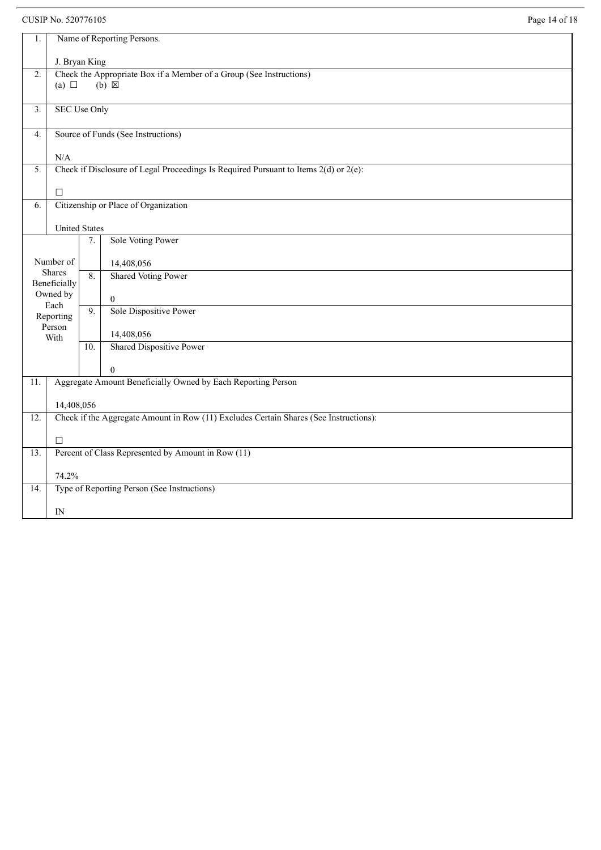## CUSIP No. 520776105 Page 14 of 18

| Name of Reporting Persons.<br>1.                                                             |                               |                                                                                           |                                                              |  |  |  |
|----------------------------------------------------------------------------------------------|-------------------------------|-------------------------------------------------------------------------------------------|--------------------------------------------------------------|--|--|--|
|                                                                                              | J. Bryan King                 |                                                                                           |                                                              |  |  |  |
| $\overline{2}$ .                                                                             | (a) $\Box$                    | Check the Appropriate Box if a Member of a Group (See Instructions)<br>$(b) \boxtimes$    |                                                              |  |  |  |
|                                                                                              |                               |                                                                                           |                                                              |  |  |  |
| 3.                                                                                           | <b>SEC Use Only</b>           |                                                                                           |                                                              |  |  |  |
| 4.                                                                                           |                               | Source of Funds (See Instructions)                                                        |                                                              |  |  |  |
|                                                                                              |                               | $\rm N/A$                                                                                 |                                                              |  |  |  |
| $\overline{5}$ .                                                                             |                               | Check if Disclosure of Legal Proceedings Is Required Pursuant to Items $2(d)$ or $2(e)$ : |                                                              |  |  |  |
|                                                                                              | $\Box$                        |                                                                                           |                                                              |  |  |  |
| 6.                                                                                           |                               | Citizenship or Place of Organization                                                      |                                                              |  |  |  |
| <b>United States</b>                                                                         |                               |                                                                                           |                                                              |  |  |  |
|                                                                                              |                               | 7.                                                                                        | Sole Voting Power                                            |  |  |  |
|                                                                                              | Number of                     |                                                                                           | 14,408,056                                                   |  |  |  |
|                                                                                              | <b>Shares</b><br>Beneficially | 8.                                                                                        | <b>Shared Voting Power</b>                                   |  |  |  |
|                                                                                              | Owned by                      |                                                                                           | $\mathbf{0}$                                                 |  |  |  |
|                                                                                              | Each<br>Reporting             | $\overline{9}$ .                                                                          | Sole Dispositive Power                                       |  |  |  |
|                                                                                              | Person                        |                                                                                           | 14,408,056                                                   |  |  |  |
|                                                                                              | With                          | 10.                                                                                       | Shared Dispositive Power                                     |  |  |  |
|                                                                                              |                               |                                                                                           | $\theta$                                                     |  |  |  |
| 11.                                                                                          |                               |                                                                                           | Aggregate Amount Beneficially Owned by Each Reporting Person |  |  |  |
|                                                                                              | 14,408,056                    |                                                                                           |                                                              |  |  |  |
| Check if the Aggregate Amount in Row (11) Excludes Certain Shares (See Instructions):<br>12. |                               |                                                                                           |                                                              |  |  |  |
|                                                                                              | $\Box$                        |                                                                                           |                                                              |  |  |  |
| 13.                                                                                          |                               |                                                                                           | Percent of Class Represented by Amount in Row (11)           |  |  |  |
|                                                                                              | 74.2%                         |                                                                                           |                                                              |  |  |  |
| 14.                                                                                          |                               |                                                                                           | Type of Reporting Person (See Instructions)                  |  |  |  |
|                                                                                              | IN                            |                                                                                           |                                                              |  |  |  |
|                                                                                              |                               |                                                                                           |                                                              |  |  |  |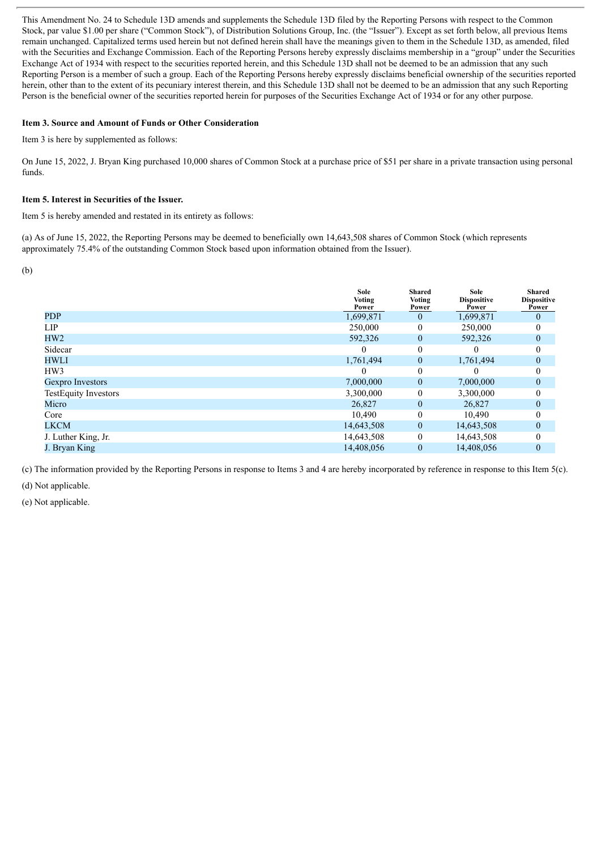This Amendment No. 24 to Schedule 13D amends and supplements the Schedule 13D filed by the Reporting Persons with respect to the Common Stock, par value \$1.00 per share ("Common Stock"), of Distribution Solutions Group, Inc. (the "Issuer"). Except as set forth below, all previous Items remain unchanged. Capitalized terms used herein but not defined herein shall have the meanings given to them in the Schedule 13D, as amended, filed with the Securities and Exchange Commission. Each of the Reporting Persons hereby expressly disclaims membership in a "group" under the Securities Exchange Act of 1934 with respect to the securities reported herein, and this Schedule 13D shall not be deemed to be an admission that any such Reporting Person is a member of such a group. Each of the Reporting Persons hereby expressly disclaims beneficial ownership of the securities reported herein, other than to the extent of its pecuniary interest therein, and this Schedule 13D shall not be deemed to be an admission that any such Reporting Person is the beneficial owner of the securities reported herein for purposes of the Securities Exchange Act of 1934 or for any other purpose.

#### **Item 3. Source and Amount of Funds or Other Consideration**

Item 3 is here by supplemented as follows:

On June 15, 2022, J. Bryan King purchased 10,000 shares of Common Stock at a purchase price of \$51 per share in a private transaction using personal funds.

#### **Item 5. Interest in Securities of the Issuer.**

Item 5 is hereby amended and restated in its entirety as follows:

(a) As of June 15, 2022, the Reporting Persons may be deemed to beneficially own 14,643,508 shares of Common Stock (which represents approximately 75.4% of the outstanding Common Stock based upon information obtained from the Issuer).

(b)

|                             | Sole<br>Voting<br>Power | Shared<br>Voting<br>Power | Sole<br><b>Dispositive</b><br>Power | Shared<br><b>Dispositive</b><br>Power |
|-----------------------------|-------------------------|---------------------------|-------------------------------------|---------------------------------------|
| <b>PDP</b>                  | 1,699,871               | $\theta$                  | 1,699,871                           | $\overline{0}$                        |
| <b>LIP</b>                  | 250,000                 |                           | 250,000                             | 0                                     |
| HW2                         | 592,326                 | $\theta$                  | 592,326                             | $\overline{0}$                        |
| Sidecar                     | $\Omega$                |                           |                                     | $\theta$                              |
| HWLI                        | 1,761,494               | $\overline{0}$            | 1,761,494                           | $\overline{0}$                        |
| HW3                         | $\theta$                | $\Omega$                  |                                     | $\theta$                              |
| Gexpro Investors            | 7,000,000               | $\theta$                  | 7,000,000                           | $\overline{0}$                        |
| <b>TestEquity Investors</b> | 3,300,000               | $\theta$                  | 3,300,000                           | 0                                     |
| Micro                       | 26,827                  | $\theta$                  | 26,827                              | $\overline{0}$                        |
| Core                        | 10.490                  |                           | 10,490                              | 0                                     |
| <b>LKCM</b>                 | 14,643,508              | $\overline{0}$            | 14,643,508                          | $\overline{0}$                        |
| J. Luther King, Jr.         | 14,643,508              | $\theta$                  | 14,643,508                          | $\Omega$                              |
| J. Bryan King               | 14,408,056              | $\mathbf{0}$              | 14,408,056                          | $\overline{0}$                        |

(c) The information provided by the Reporting Persons in response to Items 3 and 4 are hereby incorporated by reference in response to this Item 5(c).

(d) Not applicable.

(e) Not applicable.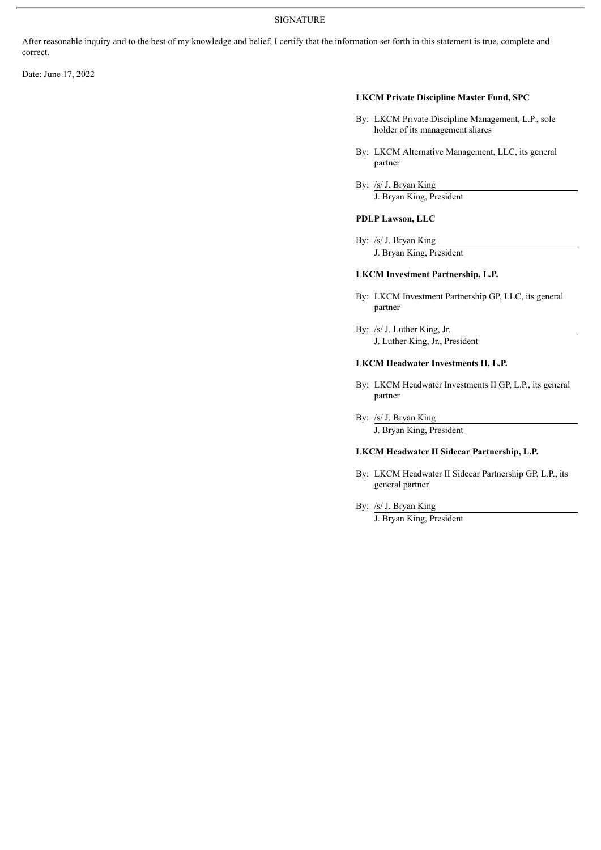After reasonable inquiry and to the best of my knowledge and belief, I certify that the information set forth in this statement is true, complete and correct.

Date: June 17, 2022

#### **LKCM Private Discipline Master Fund, SPC**

- By: LKCM Private Discipline Management, L.P., sole holder of its management shares
- By: LKCM Alternative Management, LLC, its general partner
- By: /s/ J. Bryan King J. Bryan King, President

#### **PDLP Lawson, LLC**

By: /s/ J. Bryan King J. Bryan King, President

#### **LKCM Investment Partnership, L.P.**

- By: LKCM Investment Partnership GP, LLC, its general partner
- By: /s/ J. Luther King, Jr. J. Luther King, Jr., President

#### **LKCM Headwater Investments II, L.P.**

- By: LKCM Headwater Investments II GP, L.P., its general partner
- By: /s/ J. Bryan King

J. Bryan King, President

#### **LKCM Headwater II Sidecar Partnership, L.P.**

- By: LKCM Headwater II Sidecar Partnership GP, L.P., its general partner
- By: /s/ J. Bryan King

J. Bryan King, President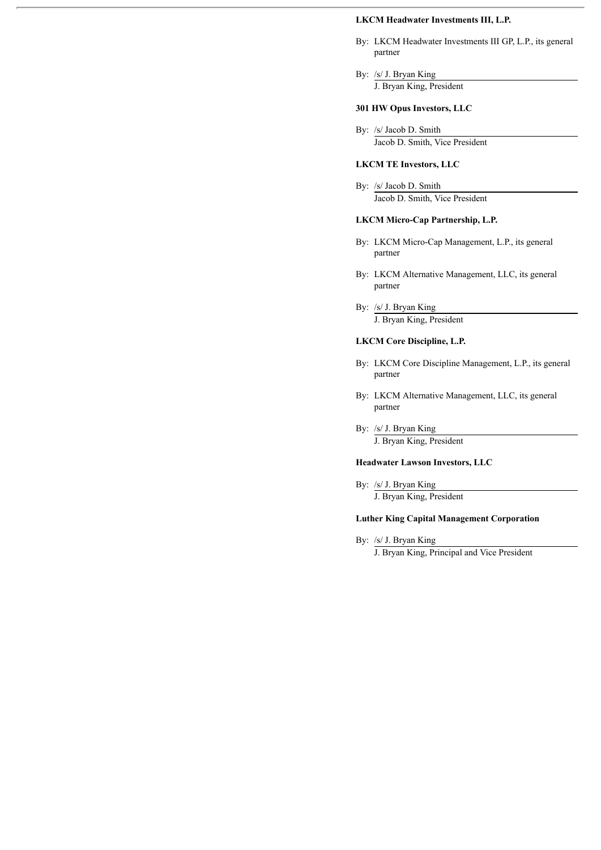#### **LKCM Headwater Investments III, L.P.**

- By: LKCM Headwater Investments III GP, L.P., its general partner
- By: /s/ J. Bryan King J. Bryan King, President

#### **301 HW Opus Investors, LLC**

By: /s/ Jacob D. Smith Jacob D. Smith, Vice President

#### **LKCM TE Investors, LLC**

By: /s/ Jacob D. Smith Jacob D. Smith, Vice President

#### **LKCM Micro-Cap Partnership, L.P.**

- By: LKCM Micro-Cap Management, L.P., its general partner
- By: LKCM Alternative Management, LLC, its general partner
- By: /s/ J. Bryan King J. Bryan King, President

#### **LKCM Core Discipline, L.P.**

- By: LKCM Core Discipline Management, L.P., its general partner
- By: LKCM Alternative Management, LLC, its general partner
- By: /s/ J. Bryan King J. Bryan King, President

#### **Headwater Lawson Investors, LLC**

By: /s/ J. Bryan King J. Bryan King, President

#### **Luther King Capital Management Corporation**

By: /s/ J. Bryan King

J. Bryan King, Principal and Vice President